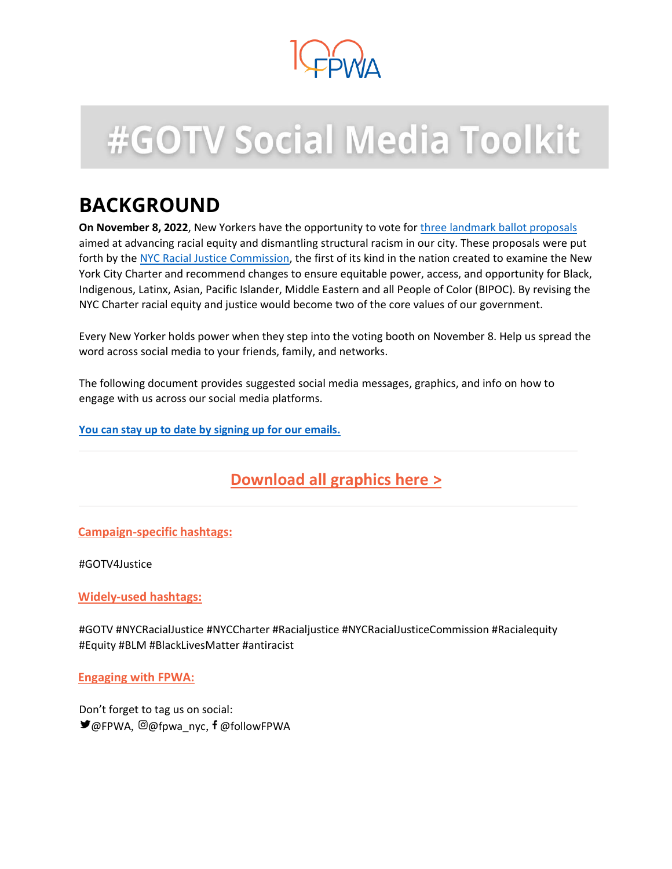

# **#GOTV Social Media Toolkit**

# **BACKGROUND**

**On November 8, 2022**, New Yorkers have the opportunity to vote for [three landmark](https://www.fpwa.org/racial-justice-commission-ballot-proposals/) [ballot proposals](https://www.fpwa.org/racial-justice-commission-ballot-proposals/) aimed at advancing racial equity and dismantling structural racism in our city. These proposals were put forth by the [NYC Racial Justice Commission,](https://www.fpwa.org/racial-justice-commission-ballot-proposals/) the first of its kind in the nation created to examine the New York City Charter and recommend changes to ensure equitable power, access, and opportunity for Black, Indigenous, Latinx, Asian, Pacific Islander, Middle Eastern and all People of Color (BIPOC). By revising the NYC Charter racial equity and justice would become two of the core values of our government.

Every New Yorker holds power when they step into the voting booth on November 8. Help us spread the word across social media to your friends, family, and networks.

The following document provides [suggested social media messages,](bookmark://MESSAGES/) [graphics,](bookmark://graphics/) an[d](bookmark://engage/) [info on how to](bookmark://engage/)  [engage with us](bookmark://engage/) across our social media platforms.

**[You can stay up to date by signing up for our emails.](https://www.fpwa.org/gotv4justice/#embed)**

## **[Download all graphics here](https://drive.google.com/drive/folders/1x8wxLF-nWJiYQ7WvHpQkB2wmr4IvzuVw) >**

#### **Campaign-specific hashtags:**

#GOTV4Justice

**Widely-used hashtags:**

#GOTV #NYCRacialJustice #NYCCharter #Racialjustice #NYCRacialJusticeCommission #Racialequity #Equity #BLM #BlackLivesMatter #antiracist

**Engaging with FPWA:** 

Don't forget to tag us on social: ■ @FPWA, @@fpwa\_nyc, f @followFPWA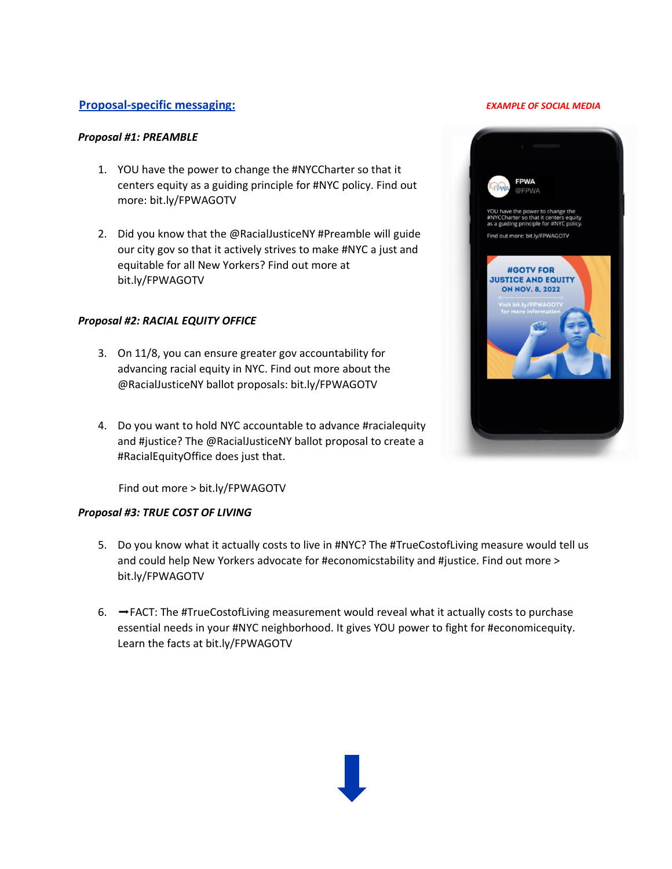#### **Proposal-specific messaging:** *EXAMPLE OF SOCIAL MEDIA*

#### *Proposal #1: PREAMBLE*

- 1. YOU have the power to change the #NYCCharter so that it centers equity as a guiding principle for #NYC policy. Find out more: bit.ly/FPWAGOTV
- 2. Did you know that the @RacialJusticeNY #Preamble will guide our city gov so that it actively strives to make #NYC a just and equitable for all New Yorkers? Find out more at bit.ly/FPWAGOTV

#### *Proposal #2: RACIAL EQUITY OFFICE*

- 3. On 11/8, you can ensure greater gov accountability for advancing racial equity in NYC. Find out more about the @RacialJusticeNY ballot proposals: bit.ly/FPWAGOTV
- 4. Do you want to hold NYC accountable to advance #racialequity and #justice? The @RacialJusticeNY ballot proposal to create a #RacialEquityOffice does just that.

Find out more > bit.ly/FPWAGOTV

#### *Proposal #3: TRUE COST OF LIVING*

- 5. Do you know what it actually costs to live in #NYC? The #TrueCostofLiving measure would tell us and could help New Yorkers advocate for #economicstability and #justice. Find out more > bit.ly/FPWAGOTV
- 6. ➡️FACT: The #TrueCostofLiving measurement would reveal what it actually costs to purchase essential needs in your #NYC neighborhood. It gives YOU power to fight for #economicequity. Learn the facts at bit.ly/FPWAGOTV

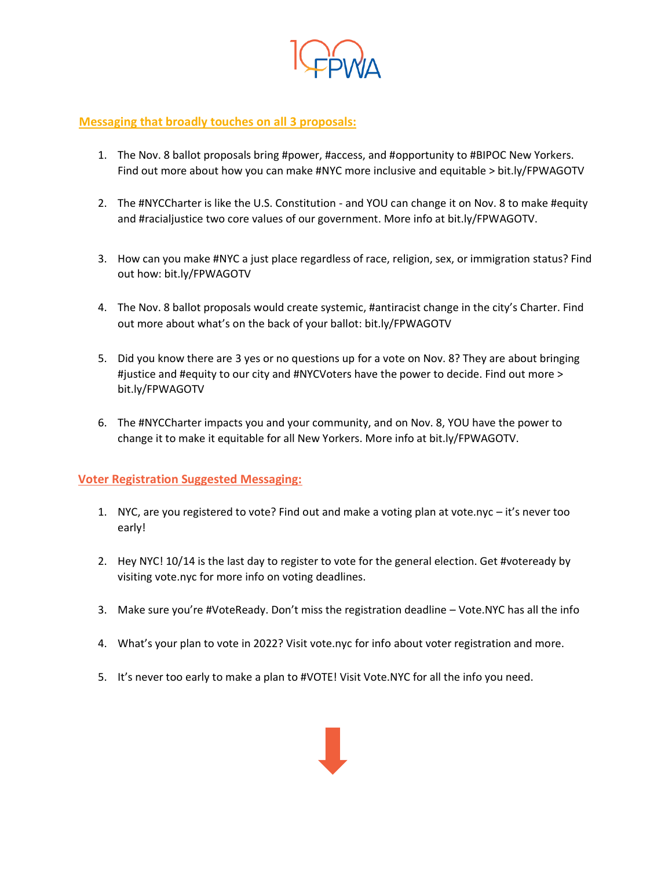

#### **Messaging that broadly touches on all 3 proposals:**

- 1. The Nov. 8 ballot proposals bring #power, #access, and #opportunity to #BIPOC New Yorkers. Find out more about how you can make #NYC more inclusive and equitable > bit.ly/FPWAGOTV
- 2. The #NYCCharter is like the U.S. Constitution and YOU can change it on Nov. 8 to make #equity and #racialjustice two core values of our government. More info at bit.ly/FPWAGOTV.
- 3. How can you make #NYC a just place regardless of race, religion, sex, or immigration status? Find out how: bit.ly/FPWAGOTV
- 4. The Nov. 8 ballot proposals would create systemic, #antiracist change in the city's Charter. Find out more about what's on the back of your ballot: bit.ly/FPWAGOTV
- 5. Did you know there are 3 yes or no questions up for a vote on Nov. 8? They are about bringing #justice and #equity to our city and #NYCVoters have the power to decide. Find out more > bit.ly/FPWAGOTV
- 6. The #NYCCharter impacts you and your community, and on Nov. 8, YOU have the power to change it to make it equitable for all New Yorkers. More info at bit.ly/FPWAGOTV.

#### **Voter Registration Suggested Messaging:**

- 1. NYC, are you registered to vote? Find out and make a voting plan at vote.nyc it's never too early!
- 2. Hey NYC! 10/14 is the last day to register to vote for the general election. Get #voteready by visiting vote.nyc for more info on voting deadlines.
- 3. Make sure you're #VoteReady. Don't miss the registration deadline Vote.NYC has all the info
- 4. What's your plan to vote in 2022? Visit vote.nyc for info about voter registration and more.
- 5. It's never too early to make a plan to #VOTE! Visit Vote.NYC for all the info you need.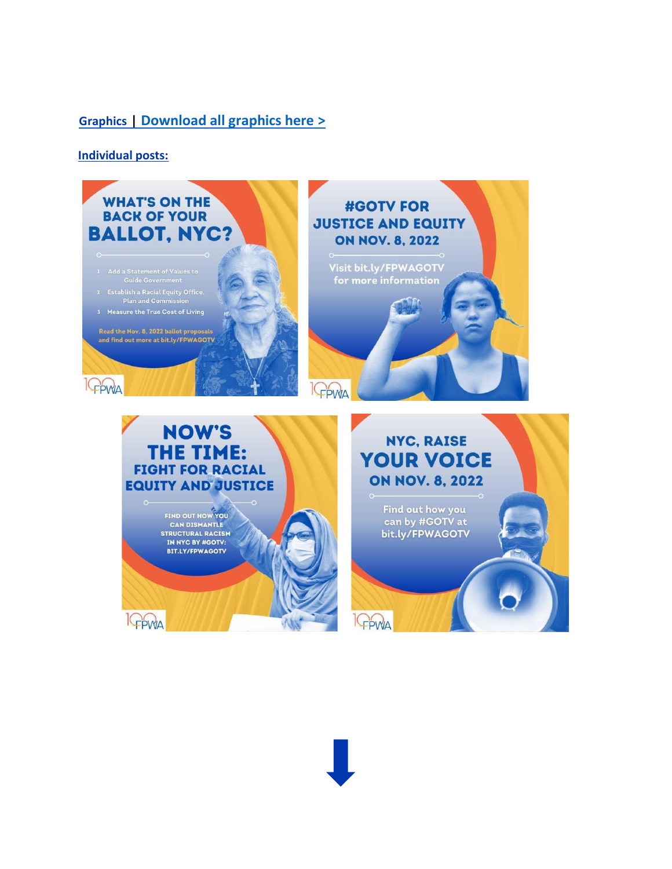### **Graphics | [Download all graphics here](https://drive.google.com/drive/folders/1x8wxLF-nWJiYQ7WvHpQkB2wmr4IvzuVw?usp=sharing) [>](https://drive.google.com/drive/folders/1x8wxLF-nWJiYQ7WvHpQkB2wmr4IvzuVw?usp=sharing)**

**Individual posts:** 

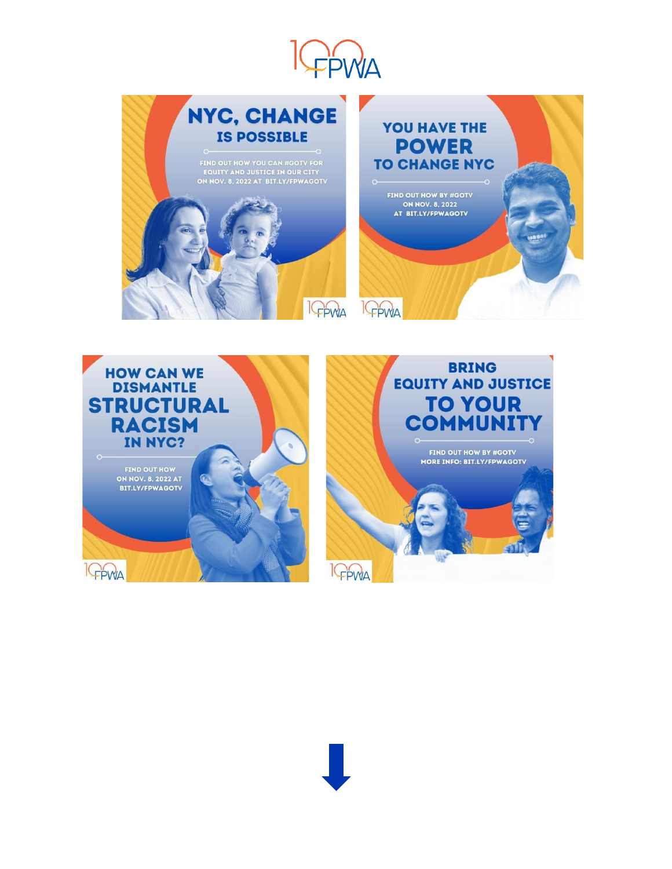